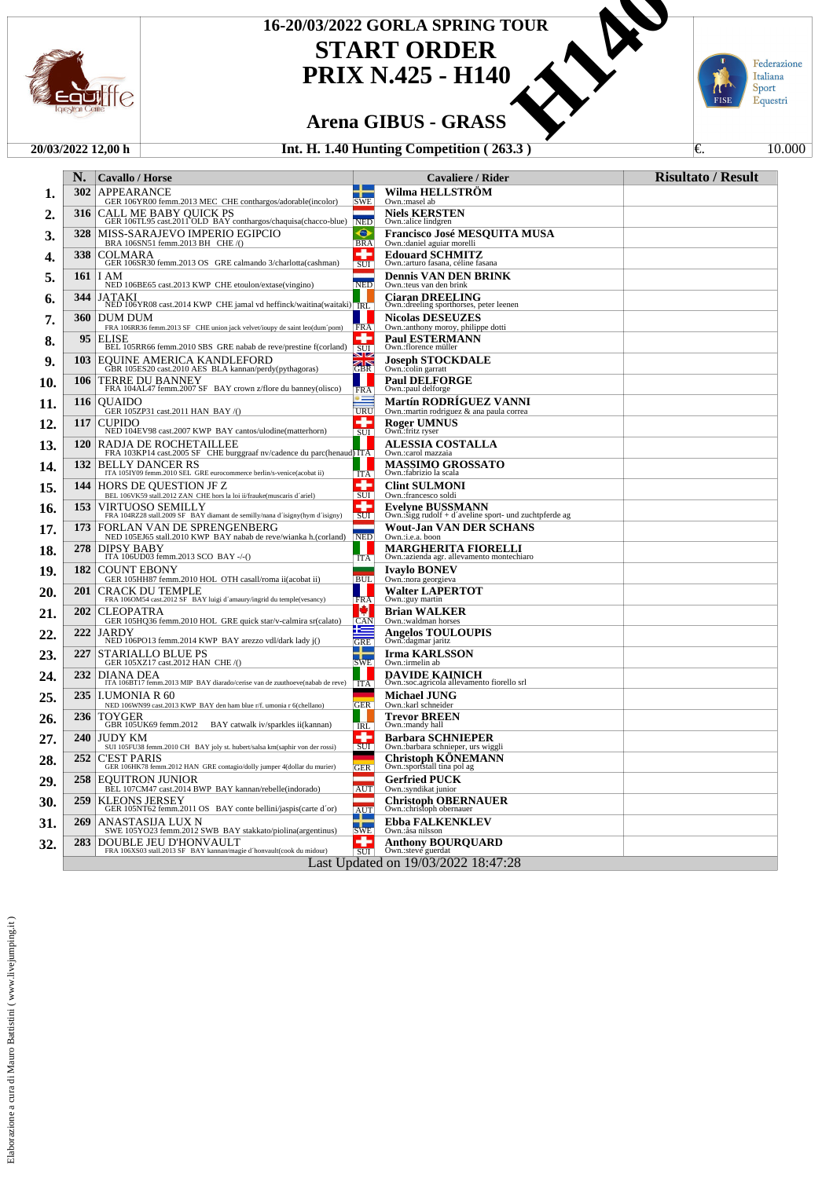

## **START ORDER** 16-20/03/2022 GORLA SPRING TOUR<br>
START ORDER<br>
PRIX N.425 - H140<br>
Arena GIBUS - GRASS<br>
Int. H. 1.40 Hunting Competition (263.3)

### **PRIX N.425 - H140**



#### **20/03/2022 12,00 h Int. H. 1.40 Hunting Competition ( 263.3 )** €. 10.000

Italiana<br>Sport<br>Equestri π FISE

Federazione

|     | N.                                  | <b>Cavallo / Horse</b>                                                                           |                     | Cavaliere / Rider                                                                 | <b>Risultato / Result</b> |  |
|-----|-------------------------------------|--------------------------------------------------------------------------------------------------|---------------------|-----------------------------------------------------------------------------------|---------------------------|--|
| 1.  | 302                                 | APPEARANCE<br>GER 106YR00 femm.2013 MEC CHE conthargos/adorable(incolor)                         | <b>SWE</b>          | <b>Wilma HELLSTROM</b><br>Own.:masel ab                                           |                           |  |
| 2.  | 316                                 | CALL ME BABY QUICK PS<br>GER 106TL95 cast.2011 OLD BAY conthargos/chaquisa(chacco-blue)          | <b>NED</b>          | <b>Niels KERSTEN</b><br>Own.:alice lindgren                                       |                           |  |
| 3.  | 328                                 | MISS-SARAJEVO IMPERIO EGIPCIO<br>BRA 106SN51 femm.2013 BH CHE/()                                 | ⊖<br><b>BRA</b>     | Francisco José MESQUITA MUSA<br>Own.: daniel aguiar morelli                       |                           |  |
| 4.  | 338                                 | COLMARA<br>GER 106SR30 femm.2013 OS GRE calmando 3/charlotta(cashman)                            | ۰<br>SUI            | <b>Edouard SCHMITZ</b><br>Own.: arturo fasana, céline fasana                      |                           |  |
| 5.  | 161                                 | I AM<br>NED 106BE65 cast.2013 KWP CHE etoulon/extase(vingino)                                    | ╾<br><b>NED</b>     | <b>Dennis VAN DEN BRINK</b><br>Own.: teus van den brink                           |                           |  |
| 6.  | 344                                 | <b>JATAKI</b><br>NED 106YR08 cast.2014 KWP CHE jamal vd heffinck/waitina(waitaki) RL             |                     | <b>Ciaran DREELING</b><br>Own.: dreeling sporthorses, peter leenen                |                           |  |
| 7.  | 360                                 | <b>DUM DUM</b><br>FRA 106RR36 femm.2013 SF CHE union jack velvet/ioupy de saint leo(dum'pom)     | <b>FRA</b>          | <b>Nicolas DESEUZES</b><br>Own.:anthony moroy, philippe dotti                     |                           |  |
| ა.  | 95                                  | <b>ELISE</b><br>BEL 105RR66 femm.2010 SBS GRE nabab de reve/prestine f(corland)                  | ÷<br>SUI            | <b>Paul ESTERMANN</b><br>Own.:florence müller                                     |                           |  |
| 9.  | 103                                 | EQUINE AMERICA KANDLEFORD<br>GBR 105ES20 cast.2010 AES BLA kannan/perdy(pythagoras)              | s les<br>ar<br>IGBR | <b>Joseph STOCKDALE</b><br>Own.:colin garratt                                     |                           |  |
| 10. | 106                                 | TERRE DU BANNEY<br>FRA 104AL47 femm.2007 SF BAY crown z/flore du banney(olisco)                  | <b>FRA</b>          | <b>Paul DELFORGE</b><br>Own.:paul delforge                                        |                           |  |
| 11. | 116                                 | <b>OUAIDO</b><br>GER 105ZP31 cast.2011 HAN BAY /()                                               | URU                 | <b>Martín RODRIGUEZ VANNI</b><br>Own.: martin rodriguez & ana paula correa        |                           |  |
| 12. | 117                                 | <b>CUPIDO</b><br>NED 104EV98 cast.2007 KWP BAY cantos/ulodine(matterhorn)                        | ÷<br><b>SUI</b>     | <b>Roger UMNUS</b><br>Own.:fritz ryser                                            |                           |  |
| 13. | <b>120</b>                          | RADJA DE ROCHETAILLEE<br>FRA 103KP14 cast.2005 SF CHE burggraaf nv/cadence du parc(henaud) ITA   |                     | <b>ALESSIA COSTALLA</b><br>Own.:carol mazzaia                                     |                           |  |
| 14. | 132                                 | <b>BELLY DANCER RS</b><br>ITA 105IY09 femm.2010 SEL GRE eurocommerce berlin/s-venice(acobat ii)  | ITA                 | <b>MASSIMO GROSSATO</b><br>Own.:fabrizio la scala                                 |                           |  |
| 15. | 144                                 | HORS DE QUESTION JF Z<br>BEL 106VK59 stall.2012 ZAN CHE hors la loi ii/frauke(muscaris d'ariel)  | ۰<br>SUI            | <b>Clint SULMONI</b><br>Own.:francesco soldi                                      |                           |  |
| 16. | 153                                 | VIRTUOSO SEMILLY<br>FRA 104RZ28 stall.2009 SF BAY diamant de semilly/nana d'isigny(hym d'isigny) | SUI                 | <b>Evelyne BUSSMANN</b><br>Own.:sigg rudolf + d'aveline sport- und zuchtpferde ag |                           |  |
| 17. | 173                                 | FORLAN VAN DE SPRENGENBERG<br>NED 105EJ65 stall.2010 KWP BAY nabab de reve/wianka h.(corland)    | NED                 | <b>Wout-Jan VAN DER SCHANS</b><br>Own.:i.e.a. boon                                |                           |  |
| 18. | 278                                 | DIPSY BABY<br>ITA 106UD03 femm.2013 SCO BAY -/-()                                                | <b>ITA</b>          | <b>MARGHERITA FIORELLI</b><br>Own.:azienda agr. allevamento montechiaro           |                           |  |
| 19. | 182                                 | <b>COUNT EBONY</b><br>GER 105HH87 femm.2010 HOL OTH casall/roma ii(acobat ii)                    | <b>BUL</b>          | <b>Ivaylo BONEV</b><br>Own.:nora georgieva                                        |                           |  |
| 20. | 201                                 | CRACK DU TEMPLE<br>FRA 106OM54 cast.2012 SF BAY luigi d'amaury/ingrid du temple(vesancy)         | a.<br><b>FRA</b>    | <b>Walter LAPERTOT</b><br>Own.:guy martin                                         |                           |  |
| 21. | 202                                 | CLEOPATRA<br>GER 105HQ36 femm.2010 HOL GRE quick star/v-calmira sr(calato)                       | Ø<br><b>CAN</b>     | <b>Brian WALKER</b><br>Own.:waldman horses                                        |                           |  |
| 22. | 222                                 | <b>JARDY</b><br>NED 106PO13 femm.2014 KWP BAY arezzo vdl/dark lady j()                           | <b>GRE</b>          | <b>Angelos TOULOUPIS</b><br>Own.:dagmar jaritz                                    |                           |  |
| 23. | 227                                 | <b>STARIALLO BLUE PS</b><br>GER 105XZ17 cast.2012 HAN CHE /()                                    | ÷<br><b>SWE</b>     | <b>Irma KARLSSON</b><br>Own.:irmelin ab                                           |                           |  |
| 24. | 232                                 | DIANA DEA<br>ITA 106BT17 femm.2013 MIP BAY diarado/cerise van de zuuthoeve(nabab de reve)        | <b>ITA</b>          | <b>DAVIDE KAINICH</b><br>Own.:soc.agricola allevamento fiorello srl               |                           |  |
| 25. | 235                                 | <b>I.UMONIA R 60</b><br>NED 106WN99 cast.2013 KWP BAY den ham blue r/f. umonia r 6(chellano)     | <b>GER</b>          | <b>Michael JUNG</b><br>Own.:karl schneider                                        |                           |  |
| 26. | 236                                 | TOYGER<br>GBR 105UK69 femm.2012 BAY catwalk iv/sparkles ii(kannan)                               | <b>IRL</b>          | <b>Trevor BREEN</b><br>Own.:mandy hall                                            |                           |  |
| 27. | 240                                 | <b>JUDY KM</b><br>SUI 105FU38 femm.2010 CH BAY joly st. hubert/salsa km(saphir von der rossi)    | ÷<br><b>SUI</b>     | <b>Barbara SCHNIEPER</b><br>Own.:barbara schnieper, urs wiggli                    |                           |  |
| 28. | 252                                 | <b>C'EST PARIS</b><br>GER 106HK78 femm.2012 HAN GRE contagio/dolly jumper 4(dollar du murier)    | <b>GER</b>          | Christoph KÖNEMANN<br>Own.:sportstall tina pol ag                                 |                           |  |
| 29. | 258                                 | <b>EQUITRON JUNIOR</b><br>BEL 107CM47 cast.2014 BWP BAY kannan/rebelle(indorado)                 | AUT                 | <b>Gerfried PUCK</b><br>Own.:syndikat junior                                      |                           |  |
| 30. | 259                                 | KLEONS JERSEY<br>GER 105NT62 femm.2011 OS BAY conte bellini/jaspis(carte d'or)                   | <b>AUT</b>          | <b>Christoph OBERNAUER</b><br>Own.:christoph obernauer                            |                           |  |
| 31. | 269                                 | ANASTASIJA LUX N<br>SWE 105YO23 femm.2012 SWB BAY stakkato/piolina(argentinus)                   | <b>SWE</b>          | <b>Ebba FALKENKLEV</b><br>Own.:åsa nilsson                                        |                           |  |
| 32. | 283                                 | DOUBLE JEU D'HONVAULT<br>FRA 106XS03 stall.2013 SF BAY kannan/magie d'honvault(cook du midour)   | <b>SUI</b>          | <b>Anthony BOUROUARD</b><br>Own.:steve guerdat                                    |                           |  |
|     | Last Updated on 19/03/2022 18:47:28 |                                                                                                  |                     |                                                                                   |                           |  |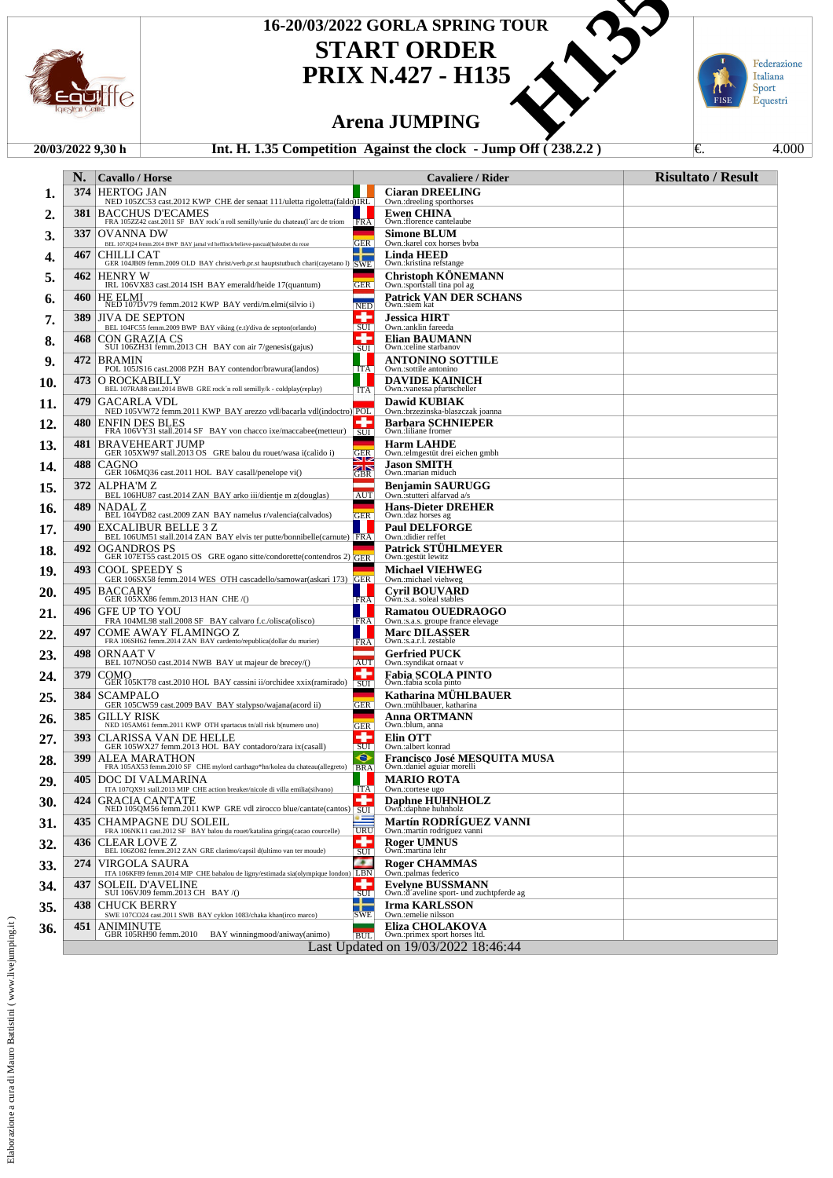

# 16-20/03/2022 GORLA SPRING TOUR<br>
START ORDER<br>
PRIX N.427 - H135<br>
Arena JUMPING<br>
35 Competition Against the clock - Jump Off (238.2.2)

**START ORDER PRIX N.427 - H135**

### **Arena JUMPING**

### **20/03/2022 9,30 h Int. H. 1.35 Competition Against the clock - Jump Off ( 238.2.2 )** €. 4.000

Federazione Italiana<br>Sport<br>Equestri π FISE

|     | N.   | Cavallo / Horse                                                                                                                            |                              | Cavaliere / Rider                                                   | <b>Risultato / Result</b> |
|-----|------|--------------------------------------------------------------------------------------------------------------------------------------------|------------------------------|---------------------------------------------------------------------|---------------------------|
| 1.  | 374  | <b>HERTOG JAN</b><br>NED 105ZC53 cast.2012 KWP CHE der senaat 111/uletta rigoletta(faldo)IRL                                               |                              | <b>Ciaran DREELING</b><br>Own.:dreeling sporthorses                 |                           |
| 2.  | 381  | <b>BACCHUS D'ECAMES</b><br>FRA 105ZZ42 cast.2011 SF BAY rock 'n roll semilly/unie du chateau(1'arc de triom FRA                            |                              | Ewen CHINA<br>Own.:florence cantelaube                              |                           |
| 3.  | 337  | OVANNA DW<br>BEL 107JQ24 femm.2014 BWP BAY jamal vd heffinck/believe-pascual(baloubet du roue                                              | <b>GER</b>                   | <b>Simone BLUM</b><br>Own.:karel cox horses byba                    |                           |
| 4.  | 467  | CHILLI CAT<br>GER 104JB09 femm.2009 OLD BAY christ/verb.pr.st hauptstutbuch chari(cayetano l) SWE                                          | - 1                          | Linda HEED<br>Own.: kristina refstange                              |                           |
| 5.  | 462  | <b>HENRY W</b><br>IRL 106VX83 cast.2014 ISH BAY emerald/heide 17(quantum)                                                                  | <b>GER</b>                   | <b>Christoph KONEMANN</b><br>Own.:sportstall tina pol ag            |                           |
| 6.  | 460  | <b>HE ELMI</b><br>NED 107DV79 femm.2012 KWP BAY verdi/m.elmi(silvio i)                                                                     | <b>NED</b>                   | <b>Patrick VAN DER SCHANS</b><br>Own.:siem kat                      |                           |
| 7.  | 389  | <b>JIVA DE SEPTON</b><br>BEL 104FC55 femm.2009 BWP BAY viking (e.t)/diva de septon(orlando)                                                | ÷<br>SUI                     | <b>Jessica HIRT</b><br>Own.:anklin fareeda                          |                           |
| 8.  | 468  | $\begin{array}{c} \mbox{CON GRAZIA CS} \\ \mbox{SUI 106ZH31 femm.2013 CH} \quad BAY \ \mbox{con air}\ 7/\mbox{genesis(gajus)} \end{array}$ | 4<br>SUI                     | Elian BAUMANN<br>Own.:celine starbanov                              |                           |
| 9.  | 472  | <b>BRAMIN</b><br>POL 105JS16 cast.2008 PZH BAY contendor/brawura(landos)                                                                   | <b>ITA</b>                   | ANTONINO SOTTILE<br>Own.:sottile antonino                           |                           |
| 10. | 473  | O ROCKABILLY<br>BEL 107RA88 cast.2014 BWB GRE rock 'n roll semilly/k - coldplay(replay)                                                    | <b>ITA</b>                   | DAVIDE KAINICH<br>Own.: vanessa pfurtscheller                       |                           |
| 11. | 479  | GACARLA VDL<br>NED 105VW72 femm.2011 KWP BAY arezzo vdl/bacarla vdl(indoctro) POL                                                          |                              | <b>Dawid KUBIAK</b><br>Own.:brzezinska-blaszczak joanna             |                           |
| 12. | 480  | <b>ENFIN DES BLES</b><br>FRA 106VY31 stall.2014 SF BAY von chacco ixe/maccabee(metteur)                                                    | C<br>$\overline{\text{SUI}}$ | <b>Barbara SCHNIEPER</b><br>Own.:liliane fromer                     |                           |
| 13. | 481  | <b>BRAVEHEART JUMP</b><br>GER 105XW97 stall.2013 OS GRE balou du rouet/wasa i(calido i)                                                    | <b>GER</b>                   | <b>Harm LAHDE</b><br>Own.: elmgestüt drei eichen gmbh               |                           |
| 14. | 488  | CAGNO<br>GER 106MQ36 cast.2011 HOL BAY casall/penelope vi()                                                                                | שוצ<br>K<br><b>GBR</b>       | Jason SMITH<br>Own.:marian miduch                                   |                           |
| 15. | 372  | ALPHA'M Z<br>BEL 106HU87 cast.2014 ZAN BAY arko iii/dientje m z(douglas)                                                                   | AUT                          | <b>Benjamin SAURUGG</b><br>Own.:stutteri alfarvad a/s               |                           |
| 16. | 489  | NADAL Z<br>BEL 104YD82 cast.2009 ZAN BAY namelus r/valencia(calvados)                                                                      | <b>GER</b>                   | <b>Hans-Dieter DREHER</b><br>Own.:daz horses ag                     |                           |
| 17. | 490  | EXCALIBUR BELLE 3 Z<br>BEL 106UM51 stall.2014 ZAN BAY elvis ter putte/bonnibelle(carnute) FRA                                              |                              | <b>Paul DELFORGE</b><br>Own.:didier reffet                          |                           |
| 18. | 492  | <b>OGANDROS PS</b><br>GER 107ET55 cast.2015 OS GRE ogano sitte/condorette(contendros 2) GER                                                |                              | <b>Patrick STUHLMEYER</b><br>Own.: gestüt lewitz                    |                           |
| 19. | 493  | <b>COOL SPEEDY S</b><br>GER 106SX58 femm.2014 WES OTH cascadello/samowar(askari 173) GER                                                   |                              | <b>Michael VIEHWEG</b><br>Own.:michael viehweg                      |                           |
| 20. | 495. | <b>BACCARY</b><br>GER 105XX86 femm.2013 HAN CHE/()                                                                                         | FRA                          | <b>Cvril BOUVARD</b><br>Own.:s.a. soleal stables                    |                           |
| 21. | 496  | <b>GFE UP TO YOU</b><br>FRA 104ML98 stall.2008 SF BAY calvaro f.c./olisca(olisco)                                                          | FRA                          | <b>Ramatou OUEDRAOGO</b><br>Own.:s.a.s. groupe france elevage       |                           |
| 22. | 497  | COME AWAY FLAMINGO Z<br>FRA 106SH62 femm.2014 ZAN BAY cardento/republica(dollar du murier)                                                 | H.<br><b>FRA</b>             | <b>Marc DILASSER</b><br>Own.:s.a.r.l. zestable                      |                           |
| 23. | 498  | <b>ORNAAT V</b><br>BEL 107NO50 cast.2014 NWB BAY ut majeur de brecey/()                                                                    | AUT                          | <b>Gerfried PUCK</b><br>Own.:syndikat ornaat v                      |                           |
| 24. | 379  | COMO<br>GER 105KT78 cast.2010 HOL BAY cassini ii/orchidee xxix(ramirado)                                                                   | ۰<br>$\sqrt{SU(1)}$          | Fabia SCOLA PINTO<br>Own.:fabia scola pinto                         |                           |
| 25. | 384  | SCAMPALO<br>GER 105CW59 cast.2009 BAV BAY stalypso/wajana(acord ii)                                                                        | <b>GER</b>                   | Katharina MUHLBAUER<br>Own.:mühlbauer, katharina                    |                           |
| 26. | 385  | GILLY RISK<br>NED 105AM61 femm.2011 KWP OTH spartacus tn/all risk b(numero uno)                                                            | <b>GER</b>                   | Anna ORTMANN<br>Own.:blum, anna                                     |                           |
| 27. | 393  | CLARISSA VAN DE HELLE<br>GER 105WX27 femm.2013 HOL BAY contadoro/zara ix(casall)                                                           | ÷<br><b>SUI</b>              | Elin OTT<br>Own.:albert konrad                                      |                           |
| 28. | 399  | ALEA MARATHON<br>FRA 105AX53 femm.2010 SF CHE mylord carthago*hn/kolea du chateau(allegreto) BRA                                           | ⊖                            | Francisco José MESOUITA MUSA<br>Own.: daniel aguiar morelli         |                           |
| 29. | 405  | DOC DI VALMARINA<br>ITA 107OX91 stall.2013 MIP CHE action breaker/nicole di villa emilia(silvano)                                          | $TT\Delta$                   | <b>MARIO ROTA</b><br>$Q_{W}$ cortage un                             |                           |
| 30. | 424  | GRACIA CANTATE<br>NED 105QM56 femm.2011 KWP GRE vdl zirocco blue/cantate(cantos)                                                           | ۰<br>SUI                     | Daphne HUHNHOLZ<br>Own.:daphne huhnholz                             |                           |
| 31. | 435  | CHAMPAGNE DU SOLEIL<br>FRA 106NK11 cast.2012 SF BAY balou du rouet/katalina gringa(cacao courcelle)                                        | URU                          | <b>Martín RODRIGUEZ VANNI</b><br>Own.:martín rodríguez vanni        |                           |
| 32. | 436  | CLEAR LOVE Z<br>BEL 106ZO82 femm.2012 ZAN GRE clarimo/capsil d(ultimo van ter moude)                                                       | ÷<br>SUI                     | <b>Roger UMNUS</b><br>Own.:martina lehr                             |                           |
| 33. | 274  | VIRGOLA SAURA<br>ITA 106KF89 femm.2014 MIP CHE babalou de ligny/estimada sia(olympique london) LBN                                         | as i                         | Roger CHAMMAS<br>Own.:palmas federico                               |                           |
| 34. | 437  | SOLEIL D'AVELINE<br>SUI 106VJ09 femm.2013 CH BAY/()                                                                                        | ÷<br>SUI                     | <b>Evelyne BUSSMANN</b><br>Own.:d'aveline sport- und zuchtpferde ag |                           |
| 35. | 438  | CHUCK BERRY<br>SWE 107CO24 cast.2011 SWB BAY cyklon 1083/chaka khan(irco marco)                                                            | <br><b>SWE</b>               | <b>Irma KARLSSON</b><br>Own.:emelie nilsson                         |                           |
| 36. | 451  | ANIMINUTE<br>GBR 105RH90 femm.2010<br>BAY winningmood/aniway(animo)                                                                        | <b>BUL</b>                   | Eliza CHOLAKOVA<br>Own.:primex sport horses ltd.                    |                           |
|     |      |                                                                                                                                            |                              | Last Updated on 19/03/2022 18:46:44                                 |                           |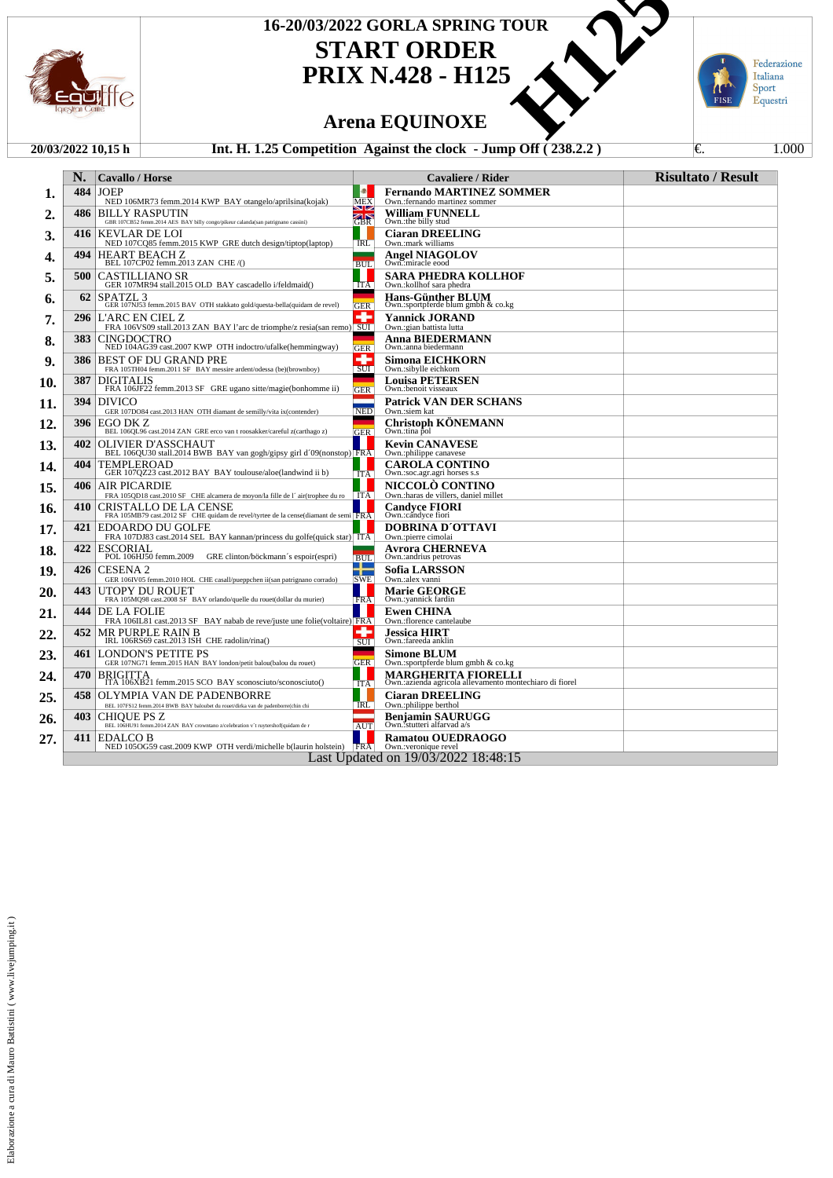

## **START ORDER** 16-20/03/2022 GORLA SPRING TOUR<br>
START ORDER<br>
PRIX N.428 - H125<br>
Arena EQUINOXE<br>
25 Competition Against the clock - Jump Off (238.2.2)

**PRIX N.428 - H125**



### **Arena EQUINOXE**

#### **20/03/2022 10,15 h Int. H. 1.25 Competition Against the clock - Jump Off ( 238.2.2 )** €. 1.000

|     | N.   | <b>Cavallo / Horse</b>                                                                                                                                         |                 | <b>Cavaliere / Rider</b>                                                        | <b>Risultato / Result</b> |
|-----|------|----------------------------------------------------------------------------------------------------------------------------------------------------------------|-----------------|---------------------------------------------------------------------------------|---------------------------|
| 1.  | 484  | <b>JOEP</b><br>NED 106MR73 femm.2014 KWP BAY otangelo/aprilsina(kojak)                                                                                         | Ð<br><b>MEX</b> | <b>Fernando MARTINEZ SOMMER</b><br>Own.: fernando martinez sommer               |                           |
| 2.  | 486  | <b>BILLY RASPUTIN</b>                                                                                                                                          | ы∞<br>GBR       | <b>William FUNNELL</b>                                                          |                           |
| 3.  | 416  | GBR 107CB52 femm.2014 AES BAY billy congo/pikeur calanda(san patrignano cassini)<br>KEVLAR DE LOI<br>NED 107CQ85 femm.2015 KWP GRE dutch design/tiptop(laptop) | <b>IRL</b>      | Own.:the billy stud<br><b>Ciaran DREELING</b><br>Own.:mark williams             |                           |
| 4.  | 494  | HEART BEACH Z<br>BEL 107CP02 femm.2013 ZAN CHE /()                                                                                                             | <b>BUL</b>      | <b>Angel NIAGOLOV</b><br>Own.:miracle eood                                      |                           |
| 5.  | 500  | <b>CASTILLIANO SR</b><br>GER 107MR94 stall.2015 OLD BAY cascadello i/feldmaid()                                                                                | ITA             | SARA PHEDRA KOLLHOF<br>Own.: kollhof sara phedra                                |                           |
| 6.  | 62   | SPATZL <sub>3</sub><br>GER 107NJ53 femm.2015 BAV OTH stakkato gold/questa-bella(quidam de revel)                                                               |                 | <b>Hans-Günther BLUM</b><br>Own.:sportpferde blum gmbh & co.kg                  |                           |
| 7.  | 296  | L'ARC EN CIEL Z<br>FRA 106VS09 stall.2013 ZAN BAY l'arc de triomphe/z resia(san remo) SUI                                                                      | <b>GER</b><br>۰ | <b>Yannick JORAND</b><br>Own.: gian battista lutta                              |                           |
| 8.  | 383. | <b>CINGDOCTRO</b><br>NED 104AG39 cast.2007 KWP OTH indoctro/ufalke(hemmingway)                                                                                 | <b>GER</b>      | Anna BIEDERMANN<br>Own.: anna biedermann                                        |                           |
| 9.  | 386  | BEST OF DU GRAND PRE<br>FRA 105TH04 femm.2011 SF BAY messire ardent/odessa (be)(brownboy)                                                                      | ÷<br>SUI        | <b>Simona EICHKORN</b><br>Own.:sibylle eichkorn                                 |                           |
| 10. | 387  | <b>DIGITALIS</b><br>FRA 106JF22 femm.2013 SF GRE ugano sitte/magie(bonhomme ii)                                                                                | <b>GER</b>      | <b>Louisa PETERSEN</b><br>Own.:benoit visseaux                                  |                           |
| 11. | 394  | DIVICO<br>GER 107DO84 cast.2013 HAN OTH diamant de semilly/vita ix(contender)                                                                                  | -<br><b>NED</b> | <b>Patrick VAN DER SCHANS</b><br>Own.:siem kat                                  |                           |
| 12. | 396  | IEGO DK Z<br>BEL 106QL96 cast.2014 ZAN GRE erco van t roosakker/careful z(carthago z)                                                                          | GER             | <b>Christoph KONEMANN</b><br>Own.:tina pol                                      |                           |
| 13. | 402  | OLIVIER D'ASSCHAUT<br>BEL 106QU30 stall.2014 BWB BAY van gogh/gipsy girl d'09(nonstop) FRA                                                                     |                 | <b>Kevin CANAVESE</b><br>Own.:philippe canavese                                 |                           |
| 14. | 404  | TEMPLEROAD<br>GER 107QZ23 cast.2012 BAY BAY toulouse/aloe(landwind ii b)                                                                                       | <b>ITA</b>      | <b>CAROLA CONTINO</b><br>Own.:soc.agr.agri horses s.s                           |                           |
| 15. | 406  | <b>AIR PICARDIE</b><br>FRA 105QD18 cast.2010 SF CHE alcamera de moyon/la fille de l'air(trophee du ro   ITA                                                    |                 | NICCOLO CONTINO<br>Own.: haras de villers, daniel millet                        |                           |
| 16. | 410  | CRISTALLO DE LA CENSE<br>FRA 105MB79 cast.2012 SF CHE quidam de revel/tyrtee de la cense(diamant de semi                                                       |                 | <b>Candvce FIORI</b><br>Own.:candyce fiori                                      |                           |
| 17. | 421  | <b>EDOARDO DU GOLFE</b><br>FRA 107DJ83 cast.2014 SEL BAY kannan/princess du golfe(quick star) ITA                                                              |                 | DOBRINA D'OTTAVI<br>Own.:pierre cimolai                                         |                           |
| 18. | 422  | ESCORIAL<br>POL 106HJ50 femm.2009<br>GRE clinton/böckmann's espoir(espri)                                                                                      | <b>BUL</b>      | Avrora CHERNEVA<br>Own.:andrius petrovas                                        |                           |
| 19. | 426  | <b>CESENA 2</b><br>GER 106IV05 femm.2010 HOL CHE casall/pueppchen ii(san patrignano corrado)                                                                   | ┰<br><b>SWE</b> | <b>Sofia LARSSON</b><br>Own.:alex vanni                                         |                           |
| 20. | 443  | UTOPY DU ROUET<br>FRA 105MQ98 cast.2008 SF BAY orlando/quelle du rouet(dollar du murier)                                                                       | <b>FRA</b>      | <b>Marie GEORGE</b><br>Own.:yannick fardin                                      |                           |
| 21. | 444  | DE LA FOLIE<br>FRA 106IL81 cast.2013 SF BAY nabab de reve/juste une folie(voltaire) FRA                                                                        |                 | <b>Ewen CHINA</b><br>Own.:florence cantelaube                                   |                           |
| 22. | 452  | <b>MR PURPLE RAIN B</b><br>IRL 106RS69 cast.2013 ISH CHE radolin/rina()                                                                                        | ÷<br>SUI        | <b>Jessica HIRT</b><br>Own.:fareeda anklin                                      |                           |
| 23. |      | <b>461 LONDON'S PETITE PS</b><br>GER 107NG71 femm.2015 HAN BAY london/petit balou(balou du rouet)                                                              | <b>GER</b>      | <b>Simone BLUM</b><br>Own.:sportpferde blum gmbh & co.kg                        |                           |
| 24. | 470  | BRIGITTA<br>ITA 106XB21 femm.2015 SCO BAY sconosciuto/sconosciuto()                                                                                            | <b>ITA</b>      | MARGHERITA FIORELLI<br>Own.: azienda agricola allevamento montechiaro di fiorel |                           |
| 25. | 458  | OLYMPIA VAN DE PADENBORRE<br>BEL 107FS12 femm.2014 BWB BAY baloubet du rouet/dirka van de padenborre(chin chi                                                  | <b>IRL</b>      | <b>Ciaran DREELING</b><br>Own.:philippe berthol                                 |                           |
| 26. | 403  | <b>CHIOUE PS Z</b><br>BEL 106HU91 femm.2014 ZAN BAY crowntano z/celebration v 't ruytershof(quidam de r                                                        | <b>AUT</b>      | <b>Benjamin SAURUGG</b><br>Own.:stutteri alfarvad a/s                           |                           |
| 27. |      | 411 EDALCO B<br>NED 105OG59 cast.2009 KWP OTH verdi/michelle b(laurin holstein)   FRA                                                                          |                 | <b>Ramatou OUEDRAOGO</b><br>Own.: veronique revel                               |                           |
|     |      |                                                                                                                                                                |                 | Last Updated on 19/03/2022 18:48:15                                             |                           |